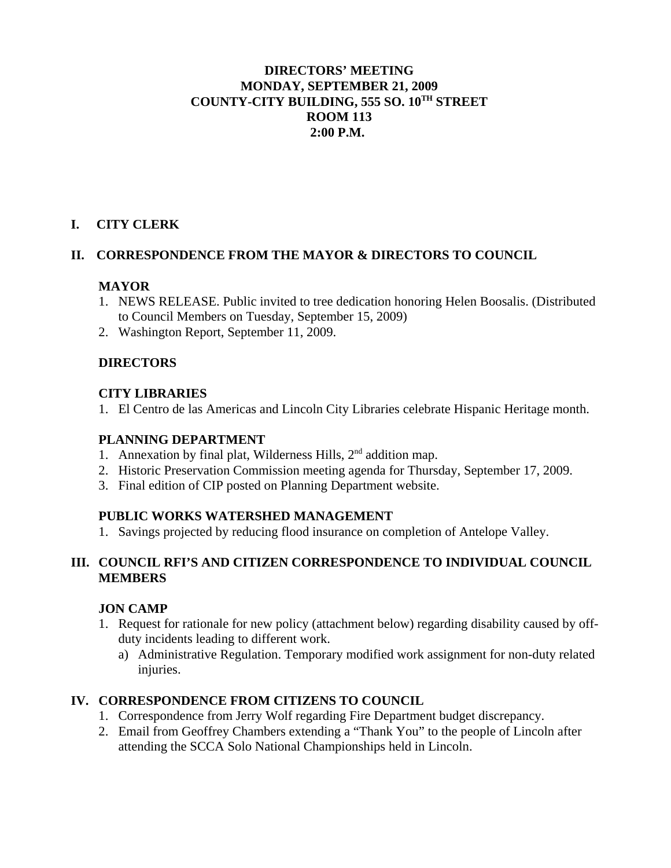# **DIRECTORS' MEETING MONDAY, SEPTEMBER 21, 2009 COUNTY-CITY BUILDING, 555 SO. 10TH STREET ROOM 113 2:00 P.M.**

# **I. CITY CLERK**

# **II. CORRESPONDENCE FROM THE MAYOR & DIRECTORS TO COUNCIL**

#### **MAYOR**

- 1. NEWS RELEASE. Public invited to tree dedication honoring Helen Boosalis. (Distributed to Council Members on Tuesday, September 15, 2009)
- 2. Washington Report, September 11, 2009.

#### **DIRECTORS**

#### **CITY LIBRARIES**

1. El Centro de las Americas and Lincoln City Libraries celebrate Hispanic Heritage month.

### **PLANNING DEPARTMENT**

- 1. Annexation by final plat, Wilderness Hills,  $2<sup>nd</sup>$  addition map.
- 2. Historic Preservation Commission meeting agenda for Thursday, September 17, 2009.
- 3. Final edition of CIP posted on Planning Department website.

# **PUBLIC WORKS WATERSHED MANAGEMENT**

1. Savings projected by reducing flood insurance on completion of Antelope Valley.

#### **III. COUNCIL RFI'S AND CITIZEN CORRESPONDENCE TO INDIVIDUAL COUNCIL MEMBERS**

# **JON CAMP**

- 1. Request for rationale for new policy (attachment below) regarding disability caused by offduty incidents leading to different work.
	- a) Administrative Regulation. Temporary modified work assignment for non-duty related injuries.

# **IV. CORRESPONDENCE FROM CITIZENS TO COUNCIL**

- 1. Correspondence from Jerry Wolf regarding Fire Department budget discrepancy.
- 2. Email from Geoffrey Chambers extending a "Thank You" to the people of Lincoln after attending the SCCA Solo National Championships held in Lincoln.